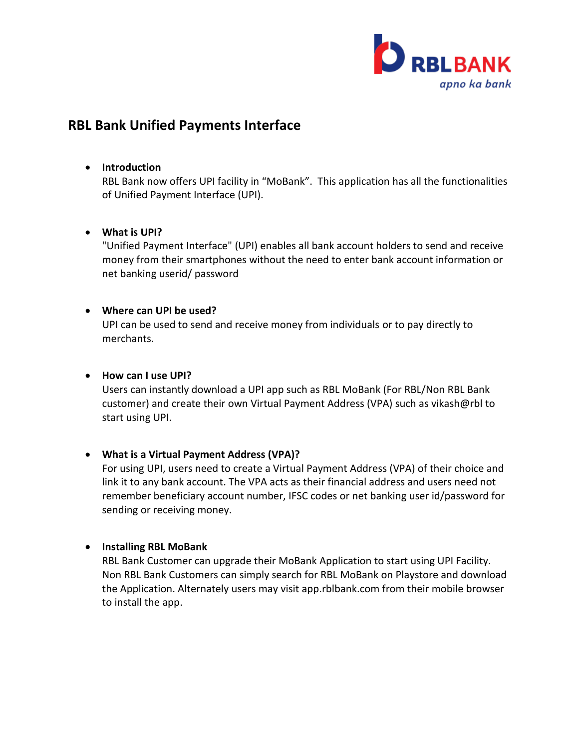

# **RBL Bank Unified Payments Interface**

#### **Introduction**

RBL Bank now offers UPI facility in "MoBank". This application has all the functionalities of Unified Payment Interface (UPI).

## **What is UPI?**

"Unified Payment Interface" (UPI) enables all bank account holders to send and receive money from their smartphones without the need to enter bank account information or net banking userid/ password

#### **Where can UPI be used?**

UPI can be used to send and receive money from individuals or to pay directly to merchants.

#### **How can I use UPI?**

Users can instantly download a UPI app such as RBL MoBank (For RBL/Non RBL Bank customer) and create their own Virtual Payment Address (VPA) such as vikash@rbl to start using UPI.

## **What is a Virtual Payment Address (VPA)?**

For using UPI, users need to create a Virtual Payment Address (VPA) of their choice and link it to any bank account. The VPA acts as their financial address and users need not remember beneficiary account number, IFSC codes or net banking user id/password for sending or receiving money.

## **Installing RBL MoBank**

RBL Bank Customer can upgrade their MoBank Application to start using UPI Facility. Non RBL Bank Customers can simply search for RBL MoBank on Playstore and download the Application. Alternately users may visit app.rblbank.com from their mobile browser to install the app.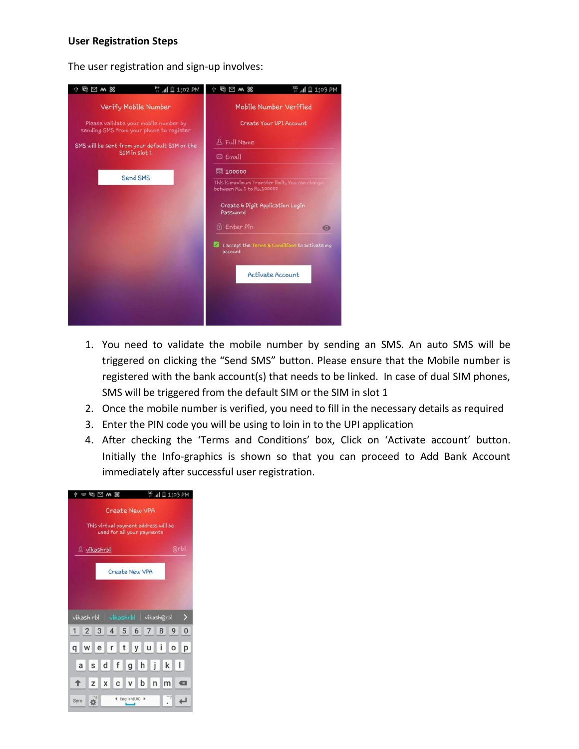#### **User Registration Steps**

The user registration and sign-up involves:



- 1. You need to validate the mobile number by sending an SMS. An auto SMS will be triggered on clicking the "Send SMS" button. Please ensure that the Mobile number is registered with the bank account(s) that needs to be linked. In case of dual SIM phones, SMS will be triggered from the default SIM or the SIM in slot 1
- 2. Once the mobile number is verified, you need to fill in the necessary details as required
- 3. Enter the PIN code you will be using to loin in to the UPI application
- 4. After checking the 'Terms and Conditions' box, Click on 'Activate account' button. Initially the Info-graphics is shown so that you can proceed to Add Bank Account immediately after successful user registration.

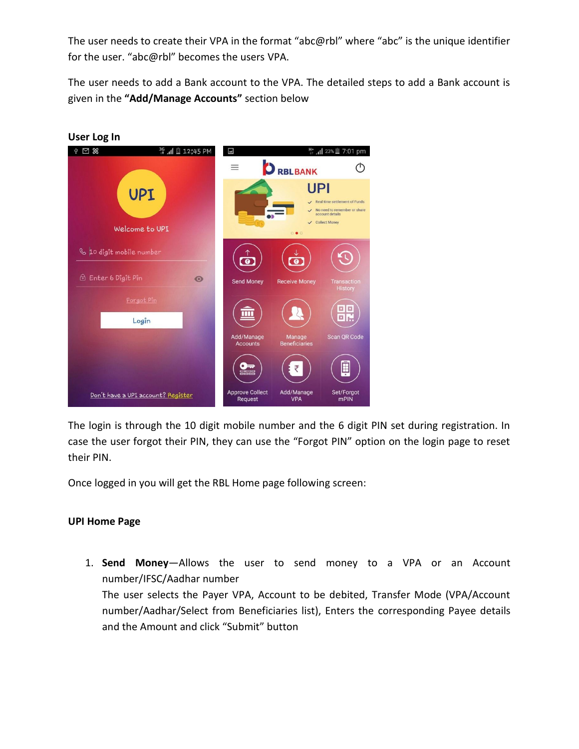The user needs to create their VPA in the format "abc@rbl" where "abc" is the unique identifier for the user. "abc@rbl" becomes the users VPA.

The user needs to add a Bank account to the VPA. The detailed steps to add a Bank account is given in the **"Add/Manage Accounts"** section below



The login is through the 10 digit mobile number and the 6 digit PIN set during registration. In case the user forgot their PIN, they can use the "Forgot PIN" option on the login page to reset their PIN.

Once logged in you will get the RBL Home page following screen:

## **UPI Home Page**

1. **Send Money**—Allows the user to send money to a VPA or an Account number/IFSC/Aadhar number The user selects the Payer VPA, Account to be debited, Transfer Mode (VPA/Account number/Aadhar/Select from Beneficiaries list), Enters the corresponding Payee details and the Amount and click "Submit" button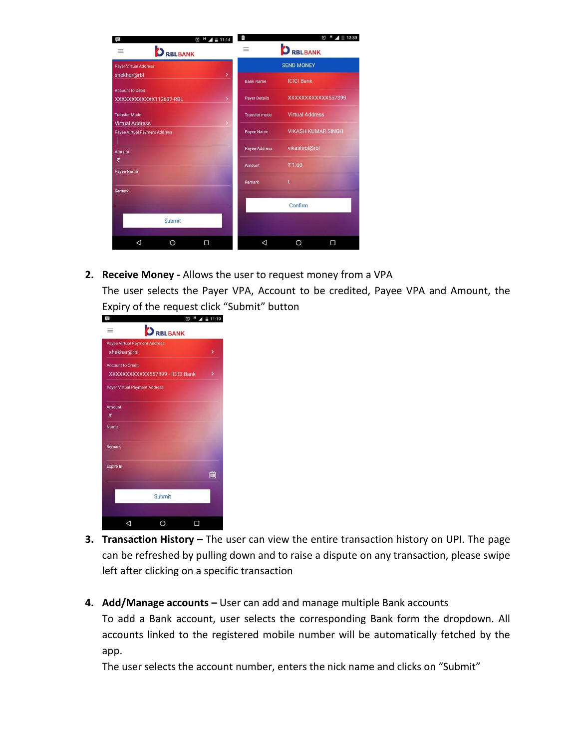| <b>D</b> RBLBANK<br>$=$              | で H 4 11:14  | n<br>$\equiv$        | © H 4 12:39<br><b>D</b> RBLBANK |
|--------------------------------------|--------------|----------------------|---------------------------------|
| <b>Payer Virtual Address</b>         |              |                      | <b>SEND MONEY</b>               |
| shekhar@rbl                          | ×            | <b>Bank Name</b>     | <b>ICICI Bank</b>               |
| <b>Account to Debit</b>              |              |                      |                                 |
| XXXXXXXXXXX112637-RBL                | $\mathbf{v}$ | <b>Payer Details</b> | XXXXXXXXXXXX557399              |
| <b>Transfer Mode</b>                 |              | <b>Transfer mode</b> | <b>Virtual Address</b>          |
| <b>Virtual Address</b>               |              |                      |                                 |
| <b>Payee Virtual Payment Address</b> |              | Payee Name           | <b>VIKASH KUMAR SINGH</b>       |
| Amount                               |              | Payee Address        | vikashrbl@rbl                   |
| ₹                                    |              |                      | ₹1.00                           |
| Payee Name                           |              | Amount               |                                 |
|                                      |              | Remark               | $\ddot{\phantom{1}}$            |
| Remark                               |              |                      |                                 |
|                                      |              |                      | Confirm                         |
| Submit                               |              |                      |                                 |
|                                      |              |                      |                                 |
| O<br>Δ                               | Δ            | Δ                    | O<br>П                          |

**2. Receive Money -** Allows the user to request money from a VPA The user selects the Payer VPA, Account to be credited, Payee VPA and Amount, the Expiry of the request click "Submit" button



- **3. Transaction History -** The user can view the entire transaction history on UPI. The page can be refreshed by pulling down and to raise a dispute on any transaction, please swipe left after clicking on a specific transaction
- **4. Add/Manage accounts –** User can add and manage multiple Bank accounts

To add a Bank account, user selects the corresponding Bank form the dropdown. All accounts linked to the registered mobile number will be automatically fetched by the app.

The user selects the account number, enters the nick name and clicks on "Submit"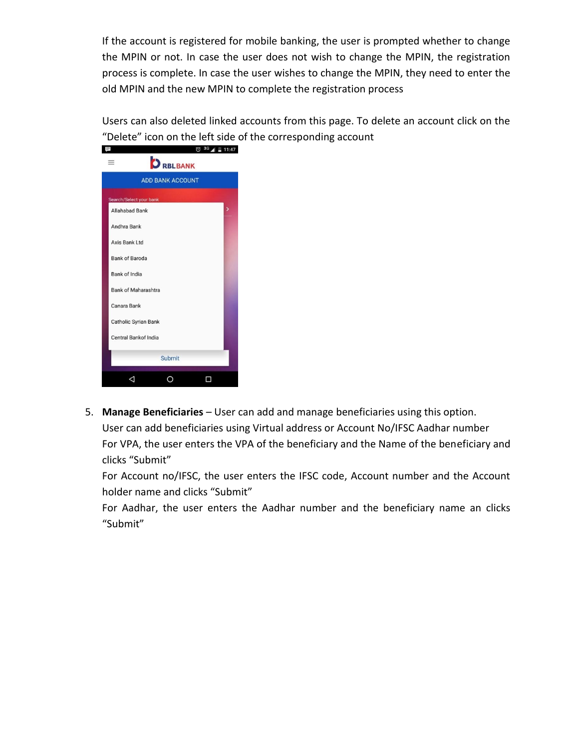If the account is registered for mobile banking, the user is prompted whether to change the MPIN or not. In case the user does not wish to change the MPIN, the registration process is complete. In case the user wishes to change the MPIN, they need to enter the old MPIN and the new MPIN to complete the registration process

Users can also deleted linked accounts from this page. To delete an account click on the "Delete" icon on the left side of the corresponding account

| 目 | <b>① 3G 4 11:47</b>         |  |  |  |  |
|---|-----------------------------|--|--|--|--|
|   | <b>D</b> RBLBANK<br>$=$     |  |  |  |  |
|   | <b>ADD BANK ACCOUNT</b>     |  |  |  |  |
|   | Search/Select your bank     |  |  |  |  |
|   | ><br><b>Allahabad Bank</b>  |  |  |  |  |
|   | Andhra Bank                 |  |  |  |  |
|   | Axis Bank Ltd               |  |  |  |  |
|   | <b>Bank of Baroda</b>       |  |  |  |  |
|   | Bank of India               |  |  |  |  |
|   | <b>Bank of Maharashtra</b>  |  |  |  |  |
|   | Canara Bank                 |  |  |  |  |
|   | <b>Catholic Syrian Bank</b> |  |  |  |  |
|   | Central Bankof India        |  |  |  |  |
|   | Submit                      |  |  |  |  |
|   |                             |  |  |  |  |
|   |                             |  |  |  |  |

5. **Manage Beneficiaries** – User can add and manage beneficiaries using this option. User can add beneficiaries using Virtual address or Account No/IFSC Aadhar number For VPA, the user enters the VPA of the beneficiary and the Name of the beneficiary and clicks "Submit"

For Account no/IFSC, the user enters the IFSC code, Account number and the Account holder name and clicks "Submit"

For Aadhar, the user enters the Aadhar number and the beneficiary name an clicks "Submit"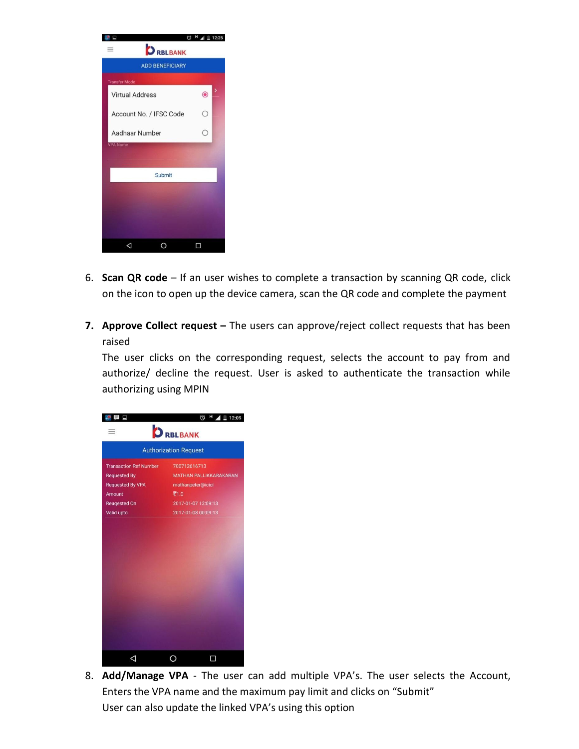|                         | RBLBANK             | н<br>0<br>12:25 |  |  |
|-------------------------|---------------------|-----------------|--|--|
| <b>ADD BENEFICIARY</b>  |                     |                 |  |  |
| <b>Transfer Mode</b>    |                     |                 |  |  |
| <b>Virtual Address</b>  | ١<br>$\circledcirc$ |                 |  |  |
| Account No. / IFSC Code | $\bigcirc$          |                 |  |  |
| Aadhaar Number          |                     | ∩               |  |  |
| <b>VPA Name</b>         |                     |                 |  |  |
|                         |                     |                 |  |  |
|                         | Submit              |                 |  |  |
|                         |                     |                 |  |  |
|                         |                     |                 |  |  |
|                         |                     |                 |  |  |
|                         |                     |                 |  |  |
|                         |                     |                 |  |  |

- 6. **Scan QR code** If an user wishes to complete a transaction by scanning QR code, click on the icon to open up the device camera, scan the QR code and complete the payment
- **7.** Approve Collect request The users can approve/reject collect requests that has been raised

The user clicks on the corresponding request, selects the account to pay from and authorize/ decline the request. User is asked to authenticate the transaction while authorizing using MPIN



8. **Add/Manage VPA** - The user can add multiple VPA's. The user selects the Account, Enters the VPA name and the maximum pay limit and clicks on "Submit" User can also update the linked VPA's using this option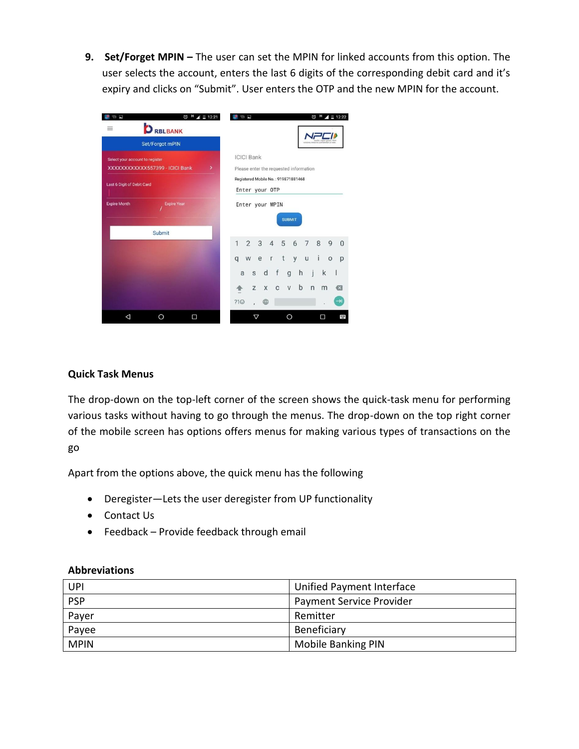**9. Set/Forget MPIN –** The user can set the MPIN for linked accounts from this option. The user selects the account, enters the last 6 digits of the corresponding debit card and it's expiry and clicks on "Submit". User enters the OTP and the new MPIN for the account.

| © H 4 12:21<br>Е<br>RBLBANK                                        |               | <b>to</b> H<br>Ε<br>■ 12:22                                                  |
|--------------------------------------------------------------------|---------------|------------------------------------------------------------------------------|
| Set/Forgot mPIN                                                    |               |                                                                              |
| Select your account to register<br>XXXXXXXXXXXX557399 - ICICI Bank | $\rightarrow$ | <b>ICICI Bank</b><br>Please enter the requested information                  |
| Last 6 Digit of Debit Card                                         |               | Registered Mobile No.: 919871881468<br>Enter your OTP                        |
| <b>Expire Month</b><br><b>Expire Year</b>                          |               | Enter your MPIN<br><b>SUBMIT</b>                                             |
| Submit                                                             |               |                                                                              |
|                                                                    |               | $\overline{2}$<br>3<br>$\overline{4}$<br>5<br>6<br>7 8<br>9<br>$\Omega$<br>1 |
|                                                                    |               | i<br>y<br>$\cup$<br>e<br>t<br>W<br>$\mathsf{r}$<br>$\circ$<br>q<br>p         |
|                                                                    |               | f<br>$\mathsf{k}$<br>1<br>d<br>h<br>$\mathbf{i}$<br>S<br>a<br>g              |
|                                                                    |               | b<br>Z<br>$\mathsf{n}$<br>X<br>$\mathsf{C}$<br>$\vee$<br>m                   |
|                                                                    |               | ٠N<br>⊕<br>71©<br>¥                                                          |
| ◁<br>Ω<br>O                                                        |               | Δ<br>O<br>Ω<br>T                                                             |

#### **Quick Task Menus**

The drop-down on the top-left corner of the screen shows the quick-task menu for performing various tasks without having to go through the menus. The drop-down on the top right corner of the mobile screen has options offers menus for making various types of transactions on the go

Apart from the options above, the quick menu has the following

- Deregister—Lets the user deregister from UP functionality
- Contact Us
- Feedback Provide feedback through email

#### **Abbreviations**

| UPI         | Unified Payment Interface       |
|-------------|---------------------------------|
| <b>PSP</b>  | <b>Payment Service Provider</b> |
| Payer       | Remitter                        |
| Payee       | Beneficiary                     |
| <b>MPIN</b> | <b>Mobile Banking PIN</b>       |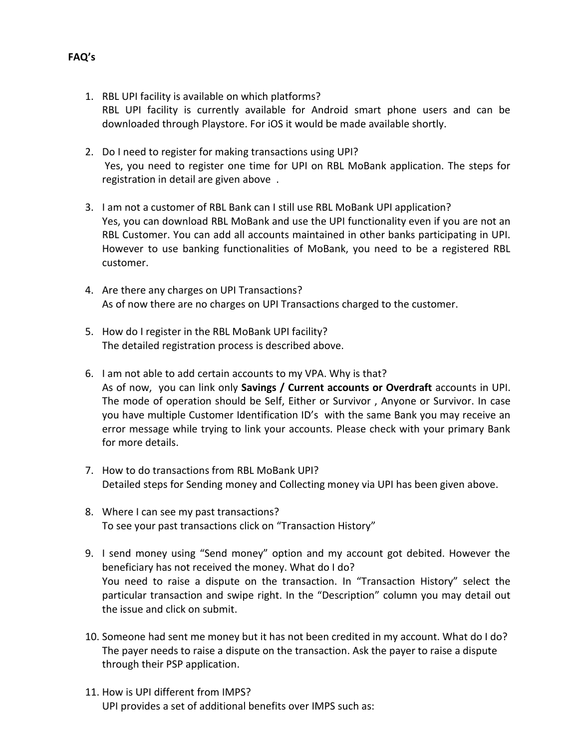- 1. RBL UPI facility is available on which platforms? RBL UPI facility is currently available for Android smart phone users and can be downloaded through Playstore. For iOS it would be made available shortly.
- 2. Do I need to register for making transactions using UPI? Yes, you need to register one time for UPI on RBL MoBank application. The steps for registration in detail are given above .
- 3. I am not a customer of RBL Bank can I still use RBL MoBank UPI application? Yes, you can download RBL MoBank and use the UPI functionality even if you are not an RBL Customer. You can add all accounts maintained in other banks participating in UPI. However to use banking functionalities of MoBank, you need to be a registered RBL customer.
- 4. Are there any charges on UPI Transactions? As of now there are no charges on UPI Transactions charged to the customer.
- 5. How do I register in the RBL MoBank UPI facility? The detailed registration process is described above.
- 6. I am not able to add certain accounts to my VPA. Why is that? As of now, you can link only **Savings / Current accounts or Overdraft** accounts in UPI. The mode of operation should be Self, Either or Survivor , Anyone or Survivor. In case you have multiple Customer Identification ID's with the same Bank you may receive an error message while trying to link your accounts. Please check with your primary Bank for more details.
- 7. How to do transactions from RBL MoBank UPI? Detailed steps for Sending money and Collecting money via UPI has been given above.
- 8. Where I can see my past transactions? To see your past transactions click on "Transaction History"
- 9. I send money using "Send money" option and my account got debited. However the beneficiary has not received the money. What do I do? You need to raise a dispute on the transaction. In "Transaction History" select the particular transaction and swipe right. In the "Description" column you may detail out the issue and click on submit.
- 10. Someone had sent me money but it has not been credited in my account. What do I do? The payer needs to raise a dispute on the transaction. Ask the payer to raise a dispute through their PSP application.
- 11. How is UPI different from IMPS? UPI provides a set of additional benefits over IMPS such as:

## **FAQ's**